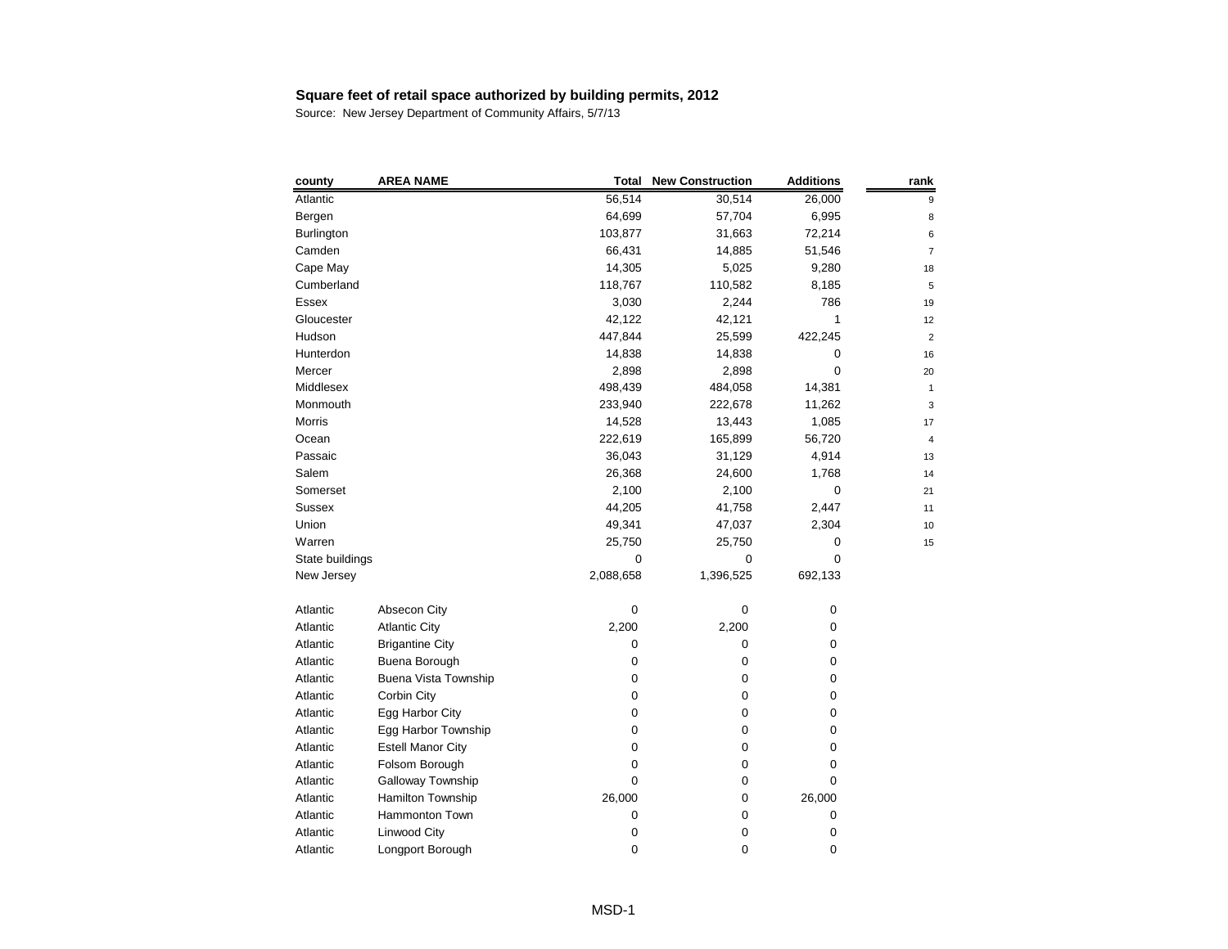| county          | <b>AREA NAME</b>         | <b>Total</b> | <b>New Construction</b> | <b>Additions</b> | rank |
|-----------------|--------------------------|--------------|-------------------------|------------------|------|
| Atlantic        |                          | 56,514       | 30,514                  | 26,000           |      |
| Bergen          |                          | 64,699       | 57,704                  | 6,995            | ε    |
| Burlington      |                          | 103,877      | 31,663                  | 72,214           |      |
| Camden          |                          | 66,431       | 14,885                  | 51,546           |      |
| Cape May        |                          | 14,305       | 5,025                   | 9,280            | 18   |
| Cumberland      |                          | 118,767      | 110,582                 | 8,185            | 5    |
| Essex           |                          | 3,030        | 2,244                   | 786              | 19   |
| Gloucester      |                          | 42,122       | 42,121                  | 1                | 12   |
| Hudson          |                          | 447,844      | 25,599                  | 422,245          | 2    |
| Hunterdon       |                          | 14,838       | 14,838                  | 0                | 16   |
| Mercer          |                          | 2,898        | 2,898                   | 0                | 20   |
| Middlesex       |                          | 498,439      | 484,058                 | 14,381           | 1    |
| Monmouth        |                          | 233,940      | 222,678                 | 11,262           | З    |
| Morris          |                          | 14,528       | 13,443                  | 1,085            | 17   |
| Ocean           |                          | 222,619      | 165,899                 | 56,720           | 4    |
| Passaic         |                          | 36,043       | 31,129                  | 4,914            | 13   |
| Salem           |                          | 26,368       | 24,600                  | 1,768            | 14   |
| Somerset        |                          | 2,100        | 2,100                   | 0                | 21   |
| <b>Sussex</b>   |                          | 44,205       | 41,758                  | 2,447            | 11   |
| Union           |                          | 49,341       | 47,037                  | 2,304            | 10   |
| Warren          |                          | 25,750       | 25,750                  | 0                | 15   |
| State buildings |                          | 0            | 0                       | 0                |      |
| New Jersey      |                          | 2,088,658    | 1,396,525               | 692,133          |      |
| Atlantic        | Absecon City             | $\pmb{0}$    | 0                       | 0                |      |
| Atlantic        | <b>Atlantic City</b>     | 2,200        | 2,200                   | 0                |      |
| Atlantic        | <b>Brigantine City</b>   | 0            | 0                       | 0                |      |
| Atlantic        | Buena Borough            | 0            | 0                       | 0                |      |
| Atlantic        | Buena Vista Township     | $\pmb{0}$    | 0                       | 0                |      |
| Atlantic        | Corbin City              | 0            | 0                       | 0                |      |
| Atlantic        | Egg Harbor City          | 0            | 0                       | 0                |      |
| Atlantic        | Egg Harbor Township      | 0            | 0                       | 0                |      |
| Atlantic        | <b>Estell Manor City</b> | 0            | 0                       | 0                |      |
| Atlantic        | Folsom Borough           | 0            | 0                       | 0                |      |
| Atlantic        | Galloway Township        | 0            | 0                       | 0                |      |
| Atlantic        | Hamilton Township        | 26,000       | 0                       | 26,000           |      |
| Atlantic        | Hammonton Town           | 0            | 0                       | 0                |      |
| Atlantic        | Linwood City             | 0            | 0                       | 0                |      |
| Atlantic        | Longport Borough         | 0            | 0                       | 0                |      |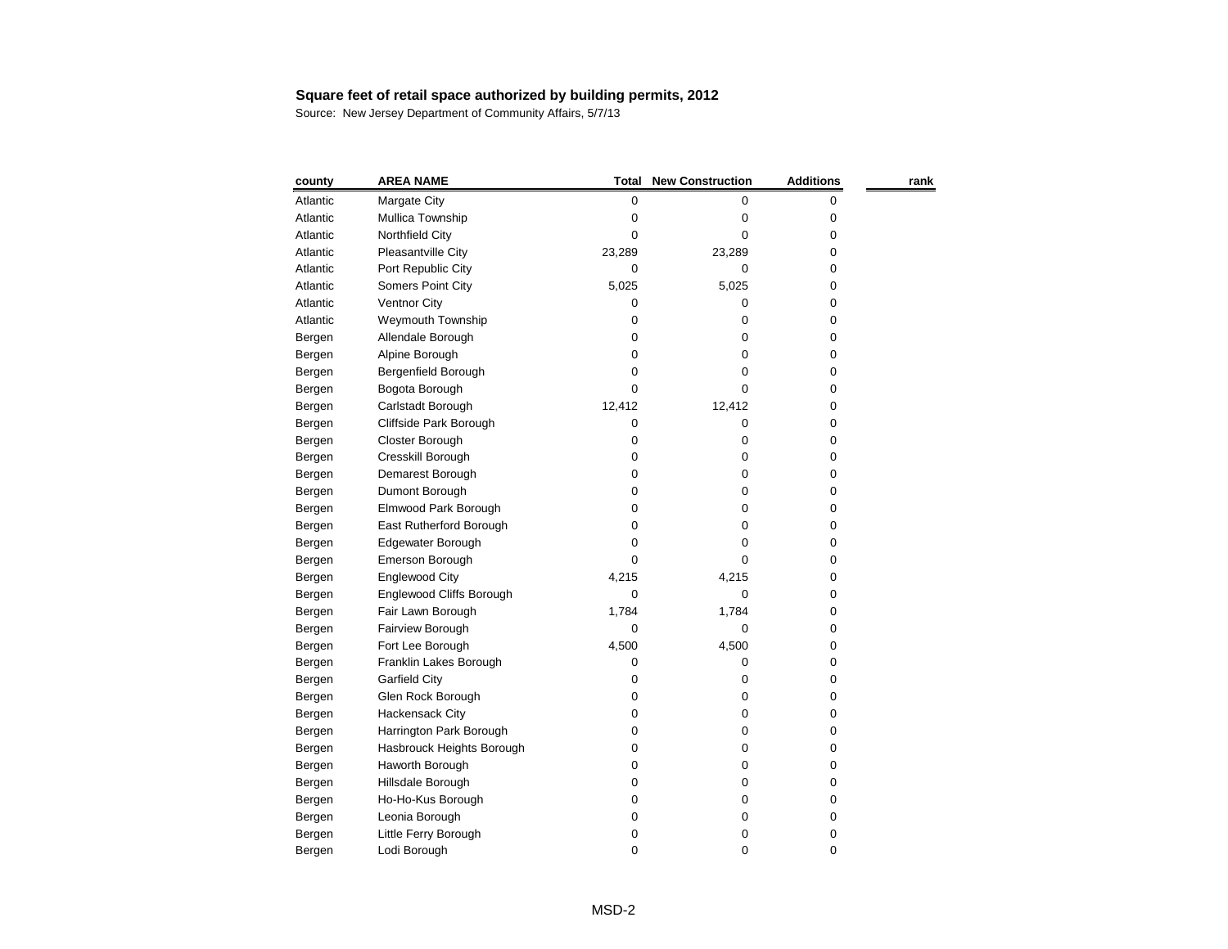| county   | <b>AREA NAME</b>          | <b>Total</b> | <b>New Construction</b> | <b>Additions</b> | rank |
|----------|---------------------------|--------------|-------------------------|------------------|------|
| Atlantic | Margate City              | $\pmb{0}$    | 0                       | 0                |      |
| Atlantic | Mullica Township          | 0            | 0                       | 0                |      |
| Atlantic | Northfield City           | 0            | 0                       | 0                |      |
| Atlantic | Pleasantville City        | 23,289       | 23,289                  | 0                |      |
| Atlantic | Port Republic City        | 0            | 0                       | 0                |      |
| Atlantic | Somers Point City         | 5,025        | 5,025                   | 0                |      |
| Atlantic | <b>Ventnor City</b>       | 0            | 0                       | 0                |      |
| Atlantic | <b>Weymouth Township</b>  | 0            | 0                       | 0                |      |
| Bergen   | Allendale Borough         | 0            | 0                       | 0                |      |
| Bergen   | Alpine Borough            | 0            | 0                       | 0                |      |
| Bergen   | Bergenfield Borough       | 0            | 0                       | 0                |      |
| Bergen   | Bogota Borough            | 0            | 0                       | 0                |      |
| Bergen   | Carlstadt Borough         | 12,412       | 12,412                  | 0                |      |
| Bergen   | Cliffside Park Borough    | 0            | 0                       | 0                |      |
| Bergen   | Closter Borough           | 0            | 0                       | 0                |      |
| Bergen   | Cresskill Borough         | 0            | 0                       | 0                |      |
| Bergen   | Demarest Borough          | 0            | 0                       | 0                |      |
| Bergen   | Dumont Borough            | 0            | 0                       | 0                |      |
| Bergen   | Elmwood Park Borough      | 0            | 0                       | 0                |      |
| Bergen   | East Rutherford Borough   | 0            | 0                       | 0                |      |
| Bergen   | Edgewater Borough         | 0            | 0                       | 0                |      |
| Bergen   | Emerson Borough           | 0            | 0                       | 0                |      |
| Bergen   | <b>Englewood City</b>     | 4,215        | 4,215                   | 0                |      |
| Bergen   | Englewood Cliffs Borough  | 0            | 0                       | 0                |      |
| Bergen   | Fair Lawn Borough         | 1,784        | 1,784                   | 0                |      |
| Bergen   | Fairview Borough          | 0            | 0                       | 0                |      |
| Bergen   | Fort Lee Borough          | 4,500        | 4,500                   | 0                |      |
| Bergen   | Franklin Lakes Borough    | 0            | 0                       | 0                |      |
| Bergen   | <b>Garfield City</b>      | 0            | 0                       | 0                |      |
| Bergen   | Glen Rock Borough         | 0            | 0                       | 0                |      |
| Bergen   | Hackensack City           | 0            | 0                       | 0                |      |
| Bergen   | Harrington Park Borough   | 0            | 0                       | 0                |      |
| Bergen   | Hasbrouck Heights Borough | 0            | 0                       | 0                |      |
| Bergen   | Haworth Borough           | 0            | 0                       | 0                |      |
| Bergen   | Hillsdale Borough         | 0            | 0                       | 0                |      |
| Bergen   | Ho-Ho-Kus Borough         | 0            | 0                       | 0                |      |
| Bergen   | Leonia Borough            | 0            | 0                       | 0                |      |
| Bergen   | Little Ferry Borough      | 0            | 0                       | 0                |      |
| Bergen   | Lodi Borough              | $\pmb{0}$    | 0                       | 0                |      |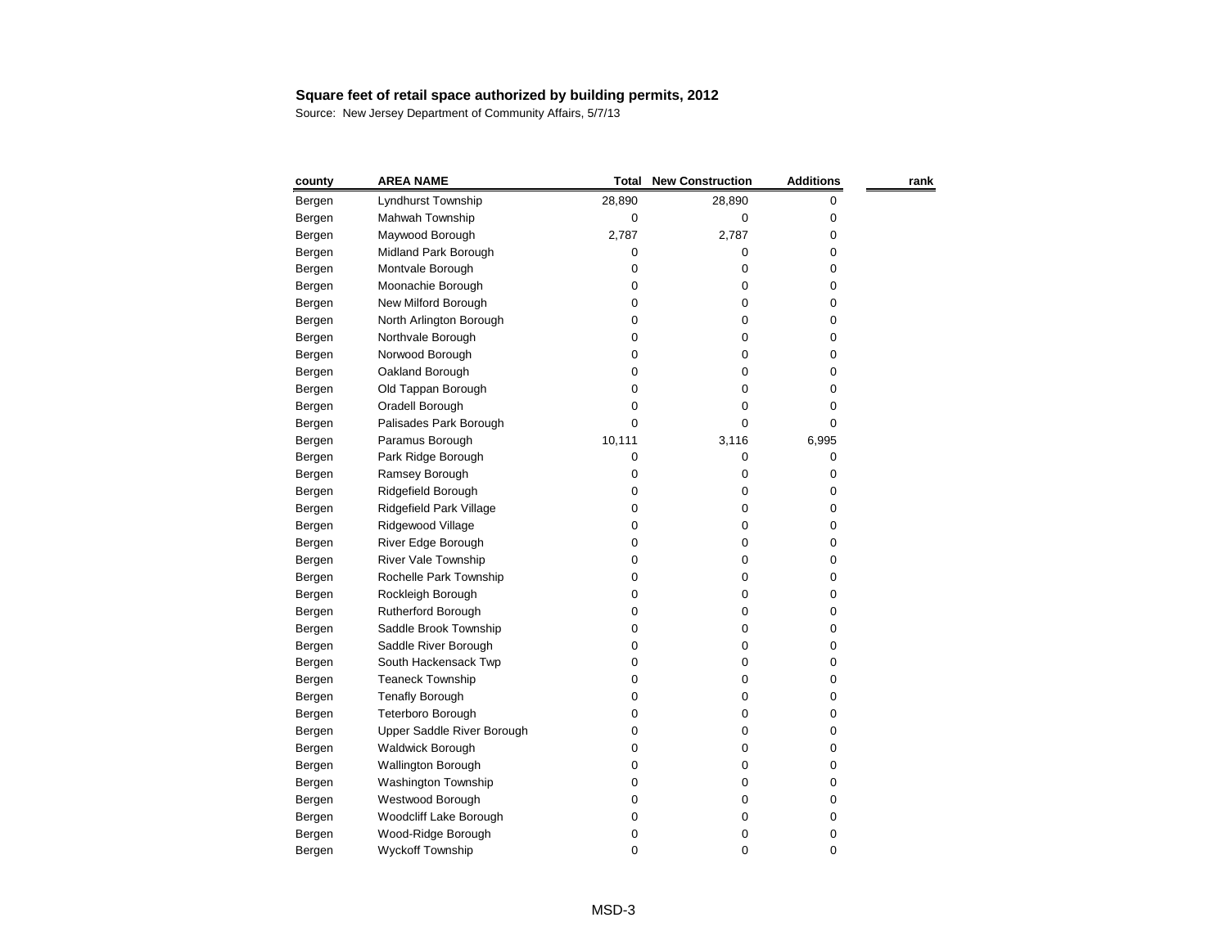| county | <b>AREA NAME</b>           | Total  | <b>New Construction</b> | <b>Additions</b> | rank |
|--------|----------------------------|--------|-------------------------|------------------|------|
| Bergen | Lyndhurst Township         | 28,890 | 28,890                  | 0                |      |
| Bergen | Mahwah Township            | 0      | 0                       | 0                |      |
| Bergen | Maywood Borough            | 2,787  | 2,787                   | 0                |      |
| Bergen | Midland Park Borough       | 0      | 0                       | 0                |      |
| Bergen | Montvale Borough           | 0      | 0                       | 0                |      |
| Bergen | Moonachie Borough          | 0      | 0                       | 0                |      |
| Bergen | New Milford Borough        | 0      | 0                       | 0                |      |
| Bergen | North Arlington Borough    | 0      | 0                       | 0                |      |
| Bergen | Northvale Borough          | 0      | 0                       | 0                |      |
| Bergen | Norwood Borough            | 0      | 0                       | 0                |      |
| Bergen | Oakland Borough            | 0      | 0                       | 0                |      |
| Bergen | Old Tappan Borough         | 0      | 0                       | 0                |      |
| Bergen | Oradell Borough            | 0      | 0                       | 0                |      |
| Bergen | Palisades Park Borough     | 0      | 0                       | 0                |      |
| Bergen | Paramus Borough            | 10,111 | 3,116                   | 6,995            |      |
| Bergen | Park Ridge Borough         | 0      | 0                       | 0                |      |
| Bergen | Ramsey Borough             | 0      | 0                       | 0                |      |
| Bergen | Ridgefield Borough         | 0      | 0                       | 0                |      |
| Bergen | Ridgefield Park Village    | 0      | 0                       | 0                |      |
| Bergen | Ridgewood Village          | 0      | 0                       | 0                |      |
| Bergen | River Edge Borough         | 0      | 0                       | 0                |      |
| Bergen | <b>River Vale Township</b> | 0      | 0                       | 0                |      |
| Bergen | Rochelle Park Township     | 0      | 0                       | 0                |      |
| Bergen | Rockleigh Borough          | 0      | 0                       | 0                |      |
| Bergen | Rutherford Borough         | 0      | 0                       | 0                |      |
| Bergen | Saddle Brook Township      | 0      | 0                       | 0                |      |
| Bergen | Saddle River Borough       | 0      | 0                       | 0                |      |
| Bergen | South Hackensack Twp       | 0      | 0                       | 0                |      |
| Bergen | <b>Teaneck Township</b>    | 0      | 0                       | 0                |      |
| Bergen | <b>Tenafly Borough</b>     | 0      | 0                       | 0                |      |
| Bergen | Teterboro Borough          | 0      | 0                       | 0                |      |
| Bergen | Upper Saddle River Borough | 0      | 0                       | 0                |      |
| Bergen | <b>Waldwick Borough</b>    | 0      | 0                       | 0                |      |
| Bergen | <b>Wallington Borough</b>  | 0      | 0                       | 0                |      |
| Bergen | <b>Washington Township</b> | 0      | 0                       | 0                |      |
| Bergen | Westwood Borough           | 0      | 0                       | 0                |      |
| Bergen | Woodcliff Lake Borough     | 0      | 0                       | 0                |      |
| Bergen | Wood-Ridge Borough         | 0      | 0                       | 0                |      |
| Bergen | Wyckoff Township           | 0      | 0                       | 0                |      |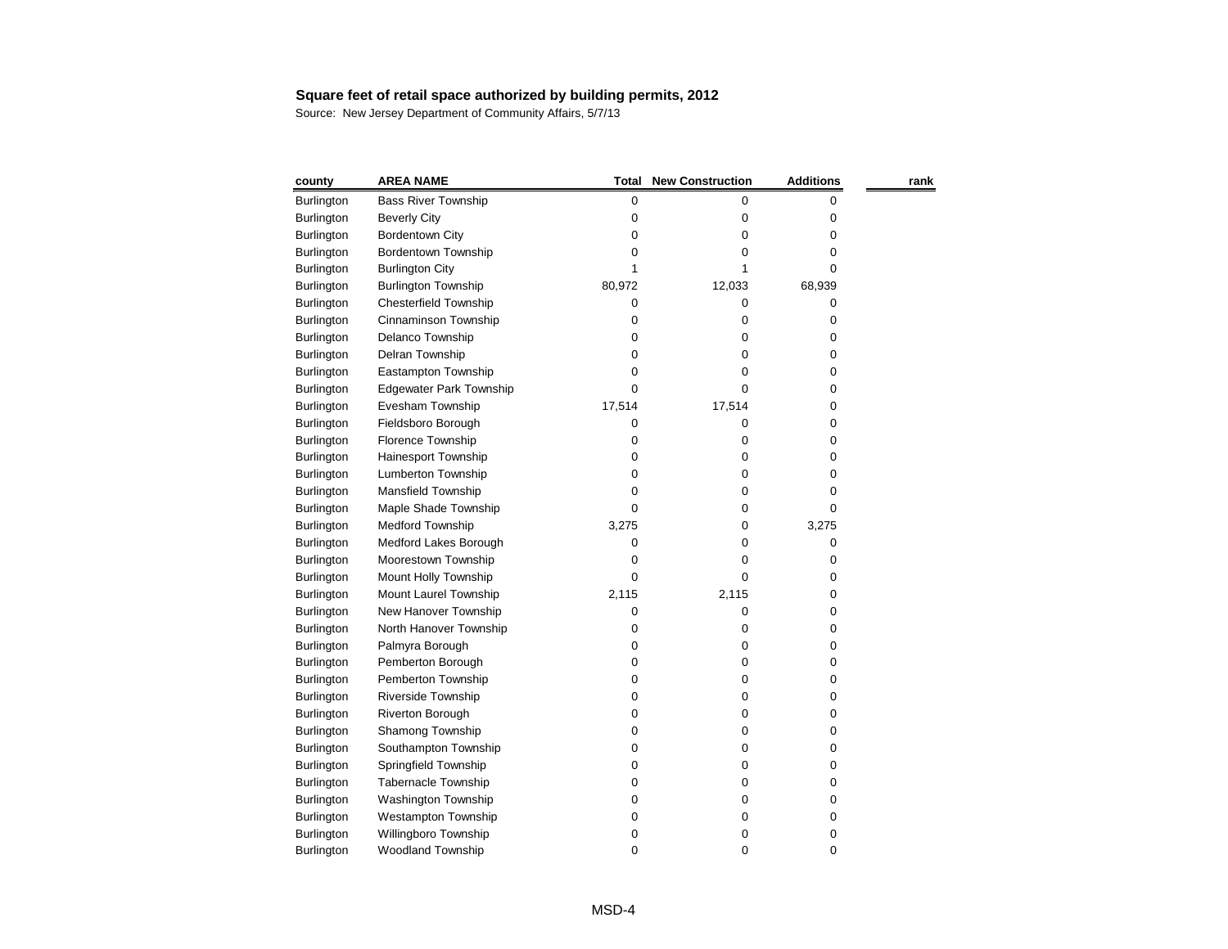| county            | <b>AREA NAME</b>               | Total     | <b>New Construction</b> | <b>Additions</b> | rank |
|-------------------|--------------------------------|-----------|-------------------------|------------------|------|
| Burlington        | <b>Bass River Township</b>     | $\pmb{0}$ | 0                       | 0                |      |
| <b>Burlington</b> | <b>Beverly City</b>            | 0         | 0                       | 0                |      |
| <b>Burlington</b> | <b>Bordentown City</b>         | 0         | 0                       | 0                |      |
| <b>Burlington</b> | Bordentown Township            | 0         | 0                       | 0                |      |
| <b>Burlington</b> | <b>Burlington City</b>         |           |                         | 0                |      |
| Burlington        | <b>Burlington Township</b>     | 80,972    | 12,033                  | 68,939           |      |
| Burlington        | <b>Chesterfield Township</b>   | 0         | 0                       | 0                |      |
| <b>Burlington</b> | Cinnaminson Township           | 0         | 0                       | 0                |      |
| <b>Burlington</b> | Delanco Township               | 0         | 0                       | 0                |      |
| <b>Burlington</b> | Delran Township                | 0         | 0                       | 0                |      |
| Burlington        | Eastampton Township            | 0         | 0                       | 0                |      |
| Burlington        | <b>Edgewater Park Township</b> | 0         | 0                       | 0                |      |
| <b>Burlington</b> | Evesham Township               | 17,514    | 17,514                  | 0                |      |
| Burlington        | Fieldsboro Borough             | 0         | 0                       | 0                |      |
| Burlington        | Florence Township              | 0         | 0                       | 0                |      |
| <b>Burlington</b> | Hainesport Township            | 0         | 0                       | 0                |      |
| Burlington        | Lumberton Township             | 0         | 0                       | 0                |      |
| Burlington        | Mansfield Township             | 0         | 0                       | 0                |      |
| Burlington        | Maple Shade Township           | 0         | 0                       | 0                |      |
| <b>Burlington</b> | <b>Medford Township</b>        | 3,275     | 0                       | 3,275            |      |
| Burlington        | Medford Lakes Borough          | 0         | 0                       | 0                |      |
| <b>Burlington</b> | Moorestown Township            | 0         | 0                       | 0                |      |
| <b>Burlington</b> | Mount Holly Township           | 0         | 0                       | 0                |      |
| Burlington        | Mount Laurel Township          | 2,115     | 2,115                   | 0                |      |
| Burlington        | New Hanover Township           | 0         | 0                       | 0                |      |
| Burlington        | North Hanover Township         | 0         | 0                       | 0                |      |
| <b>Burlington</b> | Palmyra Borough                | 0         | 0                       | 0                |      |
| <b>Burlington</b> | Pemberton Borough              | 0         | 0                       | 0                |      |
| <b>Burlington</b> | Pemberton Township             | 0         | 0                       | 0                |      |
| <b>Burlington</b> | <b>Riverside Township</b>      | 0         | 0                       | 0                |      |
| <b>Burlington</b> | <b>Riverton Borough</b>        | 0         | 0                       | 0                |      |
| Burlington        | Shamong Township               | 0         | 0                       | 0                |      |
| <b>Burlington</b> | Southampton Township           | 0         | 0                       | 0                |      |
| <b>Burlington</b> | Springfield Township           | 0         | 0                       | 0                |      |
| <b>Burlington</b> | Tabernacle Township            | 0         | 0                       | 0                |      |
| <b>Burlington</b> | Washington Township            | 0         | 0                       | 0                |      |
| Burlington        | <b>Westampton Township</b>     | 0         | 0                       | 0                |      |
| Burlington        | Willingboro Township           | 0         | 0                       | 0                |      |
| Burlington        | Woodland Township              | 0         | 0                       | 0                |      |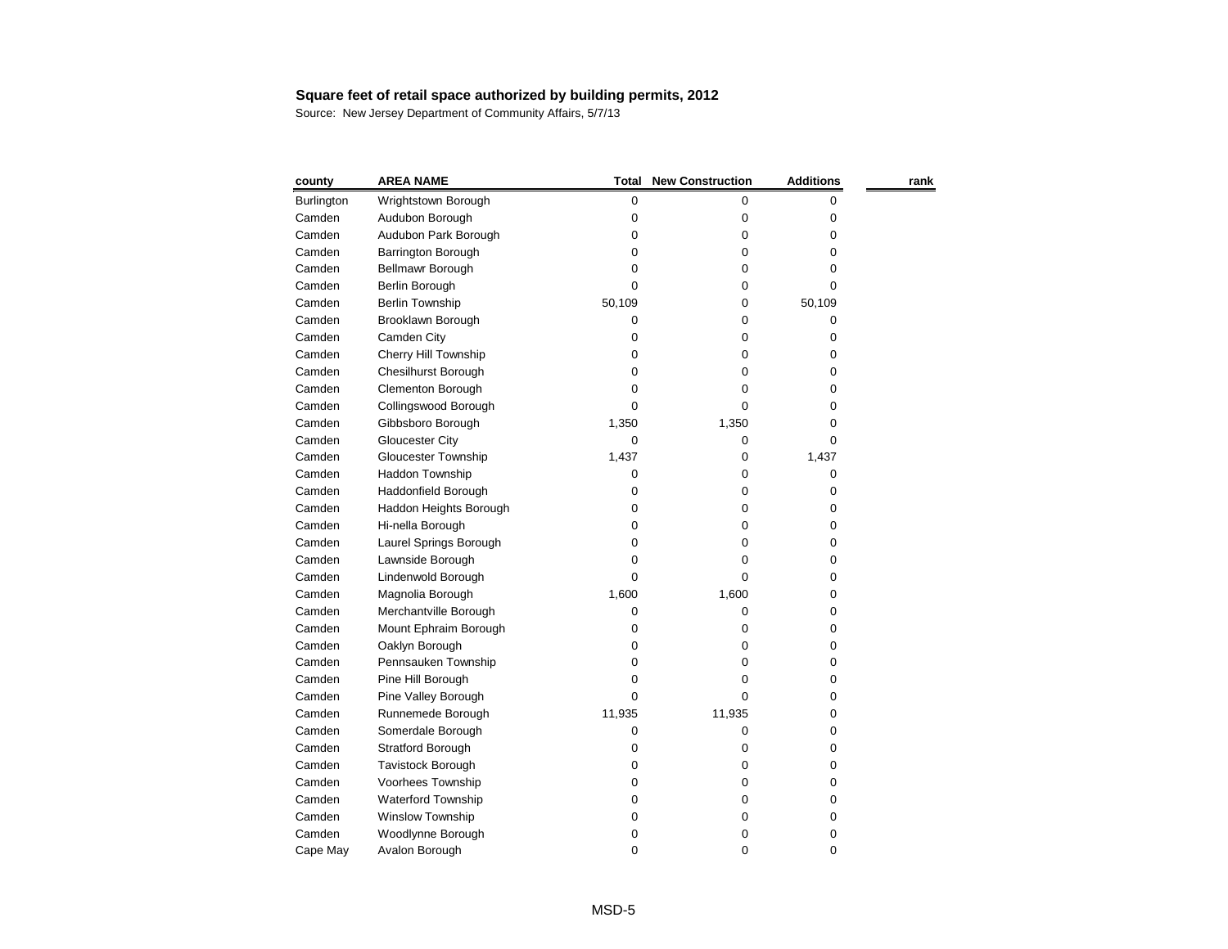| county            | <b>AREA NAME</b>           | <b>Total</b> | <b>New Construction</b> | <b>Additions</b> | rank |
|-------------------|----------------------------|--------------|-------------------------|------------------|------|
| <b>Burlington</b> | Wrightstown Borough        | 0            | 0                       | 0                |      |
| Camden            | Audubon Borough            | 0            | 0                       | 0                |      |
| Camden            | Audubon Park Borough       | 0            | 0                       | 0                |      |
| Camden            | <b>Barrington Borough</b>  | 0            | 0                       | 0                |      |
| Camden            | Bellmawr Borough           | 0            | 0                       | 0                |      |
| Camden            | Berlin Borough             | 0            | 0                       | 0                |      |
| Camden            | Berlin Township            | 50,109       | 0                       | 50,109           |      |
| Camden            | Brooklawn Borough          | 0            | 0                       | 0                |      |
| Camden            | Camden City                | 0            | 0                       | 0                |      |
| Camden            | Cherry Hill Township       | 0            | 0                       | 0                |      |
| Camden            | <b>Chesilhurst Borough</b> | 0            | 0                       | 0                |      |
| Camden            | <b>Clementon Borough</b>   | 0            | 0                       | 0                |      |
| Camden            | Collingswood Borough       | 0            | 0                       | 0                |      |
| Camden            | Gibbsboro Borough          | 1,350        | 1,350                   | 0                |      |
| Camden            | <b>Gloucester City</b>     | 0            | 0                       | 0                |      |
| Camden            | <b>Gloucester Township</b> | 1,437        | 0                       | 1,437            |      |
| Camden            | Haddon Township            | 0            | 0                       | 0                |      |
| Camden            | Haddonfield Borough        | 0            | 0                       | 0                |      |
| Camden            | Haddon Heights Borough     | 0            | 0                       | 0                |      |
| Camden            | Hi-nella Borough           | 0            | 0                       | 0                |      |
| Camden            | Laurel Springs Borough     | 0            | 0                       | 0                |      |
| Camden            | Lawnside Borough           | 0            | 0                       | 0                |      |
| Camden            | Lindenwold Borough         | 0            | 0                       | 0                |      |
| Camden            | Magnolia Borough           | 1,600        | 1,600                   | 0                |      |
| Camden            | Merchantville Borough      | 0            | 0                       | 0                |      |
| Camden            | Mount Ephraim Borough      | 0            | 0                       | 0                |      |
| Camden            | Oaklyn Borough             | 0            | 0                       | 0                |      |
| Camden            | Pennsauken Township        | 0            | 0                       | 0                |      |
| Camden            | Pine Hill Borough          | 0            | 0                       | 0                |      |
| Camden            | Pine Valley Borough        | 0            | 0                       | 0                |      |
| Camden            | Runnemede Borough          | 11,935       | 11,935                  | 0                |      |
| Camden            | Somerdale Borough          | 0            | 0                       | 0                |      |
| Camden            | Stratford Borough          | 0            | 0                       | 0                |      |
| Camden            | Tavistock Borough          | 0            | 0                       | 0                |      |
| Camden            | Voorhees Township          | 0            | 0                       | 0                |      |
| Camden            | <b>Waterford Township</b>  | 0            | 0                       | 0                |      |
| Camden            | Winslow Township           | 0            | 0                       | 0                |      |
| Camden            | Woodlynne Borough          | 0            | 0                       | 0                |      |
| Cape May          | Avalon Borough             | 0            | 0                       | 0                |      |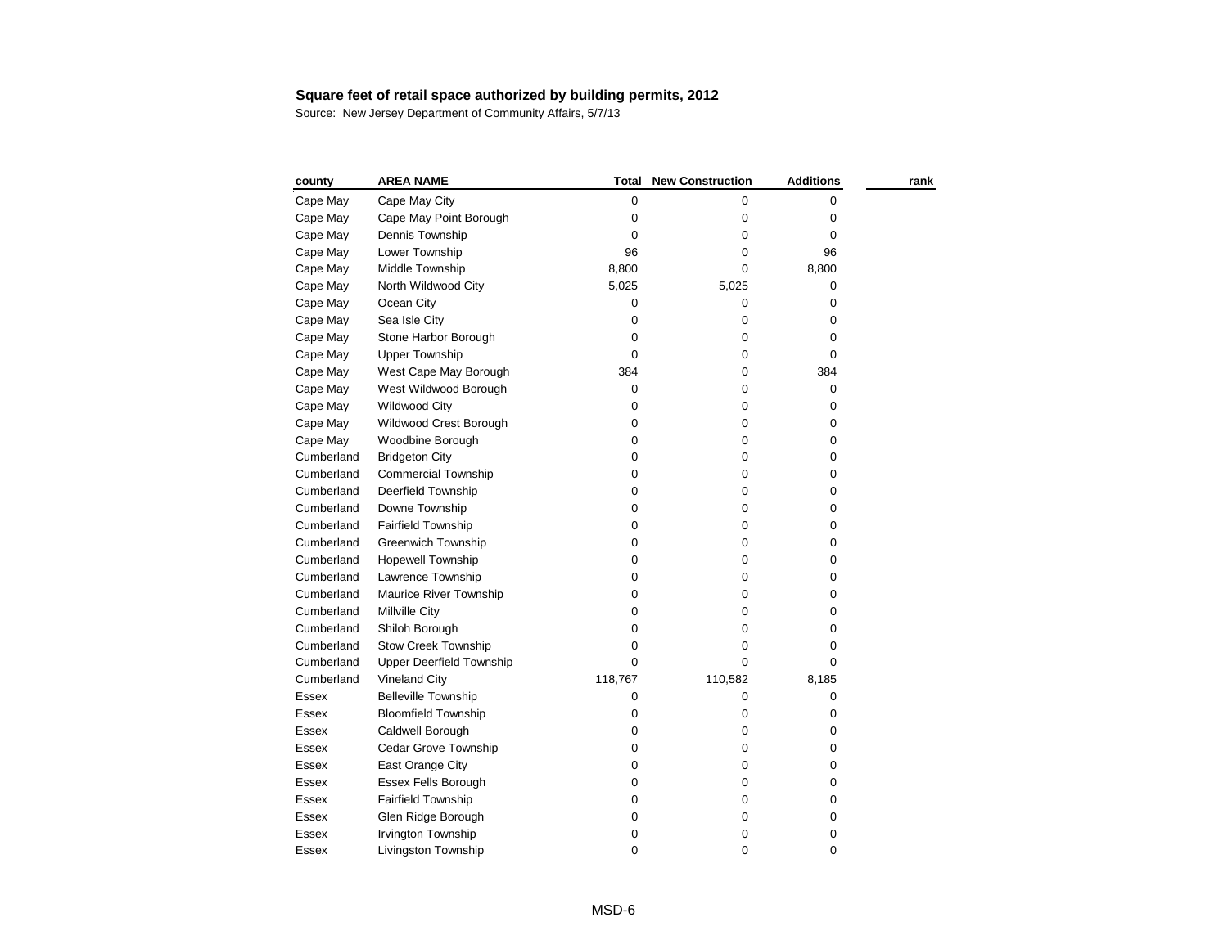| county     | <b>AREA NAME</b>                | Total   | <b>New Construction</b> | <b>Additions</b> | rank |
|------------|---------------------------------|---------|-------------------------|------------------|------|
| Cape May   | Cape May City                   | 0       | 0                       | 0                |      |
| Cape May   | Cape May Point Borough          | 0       | 0                       | 0                |      |
| Cape May   | Dennis Township                 | 0       | 0                       | 0                |      |
| Cape May   | Lower Township                  | 96      | 0                       | 96               |      |
| Cape May   | Middle Township                 | 8,800   | 0                       | 8,800            |      |
| Cape May   | North Wildwood City             | 5,025   | 5,025                   | 0                |      |
| Cape May   | Ocean City                      | 0       | 0                       | 0                |      |
| Cape May   | Sea Isle City                   | 0       | 0                       | 0                |      |
| Cape May   | Stone Harbor Borough            | 0       | 0                       | 0                |      |
| Cape May   | <b>Upper Township</b>           | 0       | 0                       | 0                |      |
| Cape May   | West Cape May Borough           | 384     | 0                       | 384              |      |
| Cape May   | West Wildwood Borough           | 0       | 0                       | 0                |      |
| Cape May   | <b>Wildwood City</b>            | 0       | 0                       | 0                |      |
| Cape May   | Wildwood Crest Borough          | 0       | 0                       | 0                |      |
| Cape May   | Woodbine Borough                | 0       | 0                       | 0                |      |
| Cumberland | <b>Bridgeton City</b>           | 0       | 0                       | 0                |      |
| Cumberland | <b>Commercial Township</b>      | 0       | 0                       | 0                |      |
| Cumberland | Deerfield Township              | 0       | 0                       | 0                |      |
| Cumberland | Downe Township                  | 0       | 0                       | 0                |      |
| Cumberland | <b>Fairfield Township</b>       | 0       | 0                       | 0                |      |
| Cumberland | <b>Greenwich Township</b>       | 0       | 0                       | 0                |      |
| Cumberland | <b>Hopewell Township</b>        | 0       | 0                       | 0                |      |
| Cumberland | Lawrence Township               | 0       | 0                       | 0                |      |
| Cumberland | Maurice River Township          | 0       | 0                       | 0                |      |
| Cumberland | Millville City                  | 0       | 0                       | 0                |      |
| Cumberland | Shiloh Borough                  | 0       | 0                       | 0                |      |
| Cumberland | <b>Stow Creek Township</b>      | 0       | 0                       | 0                |      |
| Cumberland | <b>Upper Deerfield Township</b> | 0       | 0                       | 0                |      |
| Cumberland | <b>Vineland City</b>            | 118,767 | 110,582                 | 8,185            |      |
| Essex      | <b>Belleville Township</b>      | 0       | 0                       | 0                |      |
| Essex      | <b>Bloomfield Township</b>      | 0       | 0                       | 0                |      |
| Essex      | Caldwell Borough                | 0       | 0                       | 0                |      |
| Essex      | Cedar Grove Township            | 0       | 0                       | 0                |      |
| Essex      | East Orange City                | 0       | 0                       | 0                |      |
| Essex      | <b>Essex Fells Borough</b>      | 0       | 0                       | 0                |      |
| Essex      | <b>Fairfield Township</b>       | 0       | 0                       | 0                |      |
| Essex      | Glen Ridge Borough              | 0       | 0                       | 0                |      |
| Essex      | Irvington Township              | 0       | 0                       | 0                |      |
| Essex      | Livingston Township             | 0       | 0                       | 0                |      |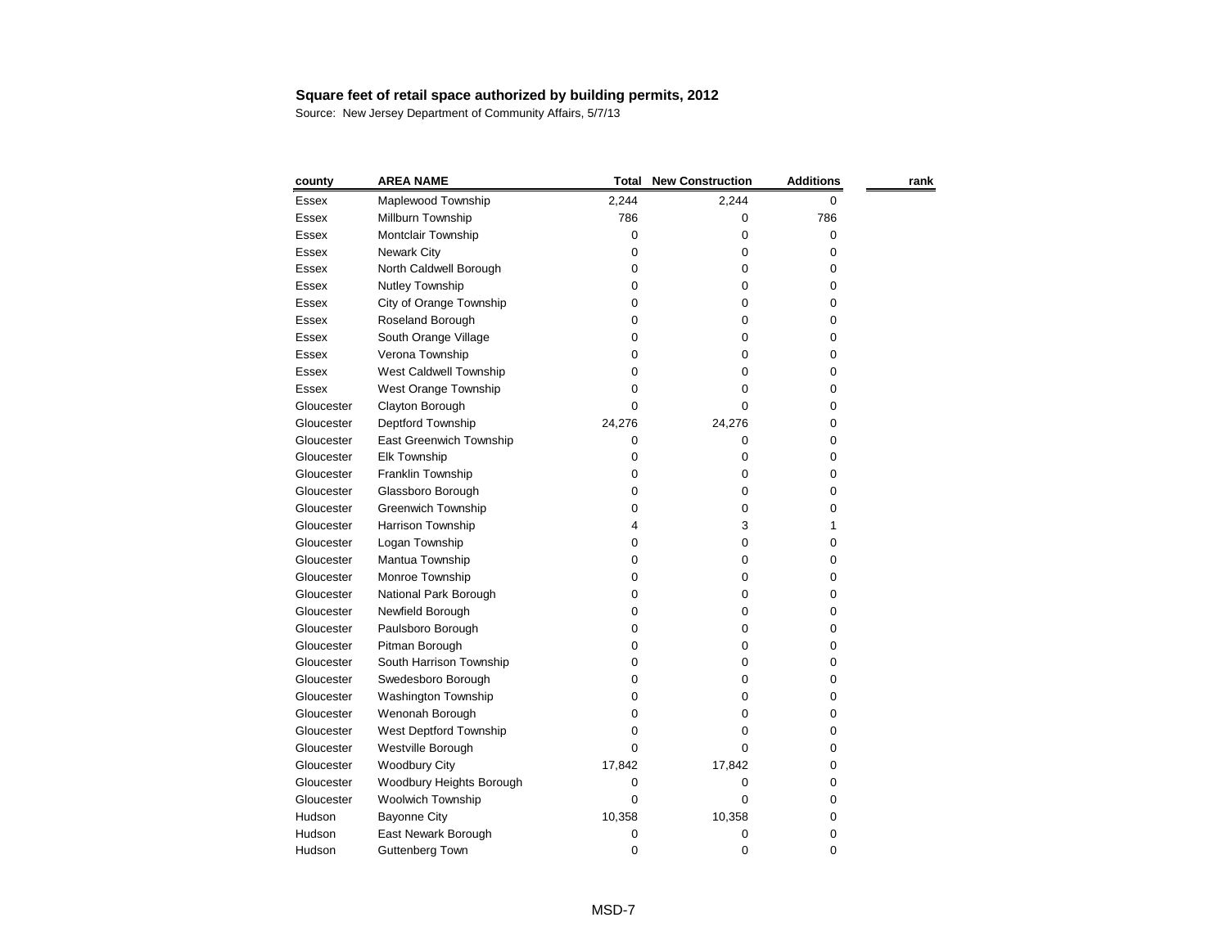| county       | <b>AREA NAME</b>          | <b>Total</b> | <b>New Construction</b> | <b>Additions</b> | rank |
|--------------|---------------------------|--------------|-------------------------|------------------|------|
| <b>Essex</b> | Maplewood Township        | 2,244        | 2,244                   | 0                |      |
| Essex        | Millburn Township         | 786          | 0                       | 786              |      |
| Essex        | Montclair Township        | 0            | 0                       | 0                |      |
| Essex        | <b>Newark City</b>        | 0            | 0                       | 0                |      |
| Essex        | North Caldwell Borough    | 0            | 0                       | 0                |      |
| Essex        | Nutley Township           | 0            | 0                       | 0                |      |
| <b>Essex</b> | City of Orange Township   | 0            | 0                       | 0                |      |
| <b>Essex</b> | Roseland Borough          | 0            | 0                       | 0                |      |
| Essex        | South Orange Village      | 0            | 0                       | 0                |      |
| Essex        | Verona Township           | 0            | 0                       | 0                |      |
| Essex        | West Caldwell Township    | 0            | 0                       | 0                |      |
| <b>Essex</b> | West Orange Township      | 0            | 0                       | 0                |      |
| Gloucester   | Clayton Borough           | 0            | 0                       | 0                |      |
| Gloucester   | Deptford Township         | 24,276       | 24,276                  | 0                |      |
| Gloucester   | East Greenwich Township   | 0            | 0                       | 0                |      |
| Gloucester   | <b>Elk Township</b>       | 0            | 0                       | 0                |      |
| Gloucester   | Franklin Township         | 0            | 0                       | 0                |      |
| Gloucester   | Glassboro Borough         | 0            | 0                       | 0                |      |
| Gloucester   | <b>Greenwich Township</b> | 0            | 0                       | 0                |      |
| Gloucester   | Harrison Township         | 4            | 3                       |                  |      |
| Gloucester   | Logan Township            | 0            | 0                       | 0                |      |
| Gloucester   | Mantua Township           | 0            | 0                       | 0                |      |
| Gloucester   | Monroe Township           | 0            | 0                       | 0                |      |
| Gloucester   | National Park Borough     | 0            | 0                       | 0                |      |
| Gloucester   | Newfield Borough          | 0            | 0                       | 0                |      |
| Gloucester   | Paulsboro Borough         | 0            | 0                       | 0                |      |
| Gloucester   | Pitman Borough            | 0            | 0                       | 0                |      |
| Gloucester   | South Harrison Township   | 0            | 0                       | 0                |      |
| Gloucester   | Swedesboro Borough        | 0            | 0                       | 0                |      |
| Gloucester   | Washington Township       | 0            | 0                       | 0                |      |
| Gloucester   | Wenonah Borough           | 0            | 0                       | 0                |      |
| Gloucester   | West Deptford Township    | 0            | 0                       | 0                |      |
| Gloucester   | Westville Borough         | 0            | 0                       | 0                |      |
| Gloucester   | <b>Woodbury City</b>      | 17,842       | 17,842                  | 0                |      |
| Gloucester   | Woodbury Heights Borough  | 0            | 0                       | 0                |      |
| Gloucester   | <b>Woolwich Township</b>  | 0            | 0                       | 0                |      |
| Hudson       | <b>Bayonne City</b>       | 10,358       | 10,358                  | 0                |      |
| Hudson       | East Newark Borough       | 0            | 0                       | 0                |      |
| Hudson       | <b>Guttenberg Town</b>    | 0            | 0                       | 0                |      |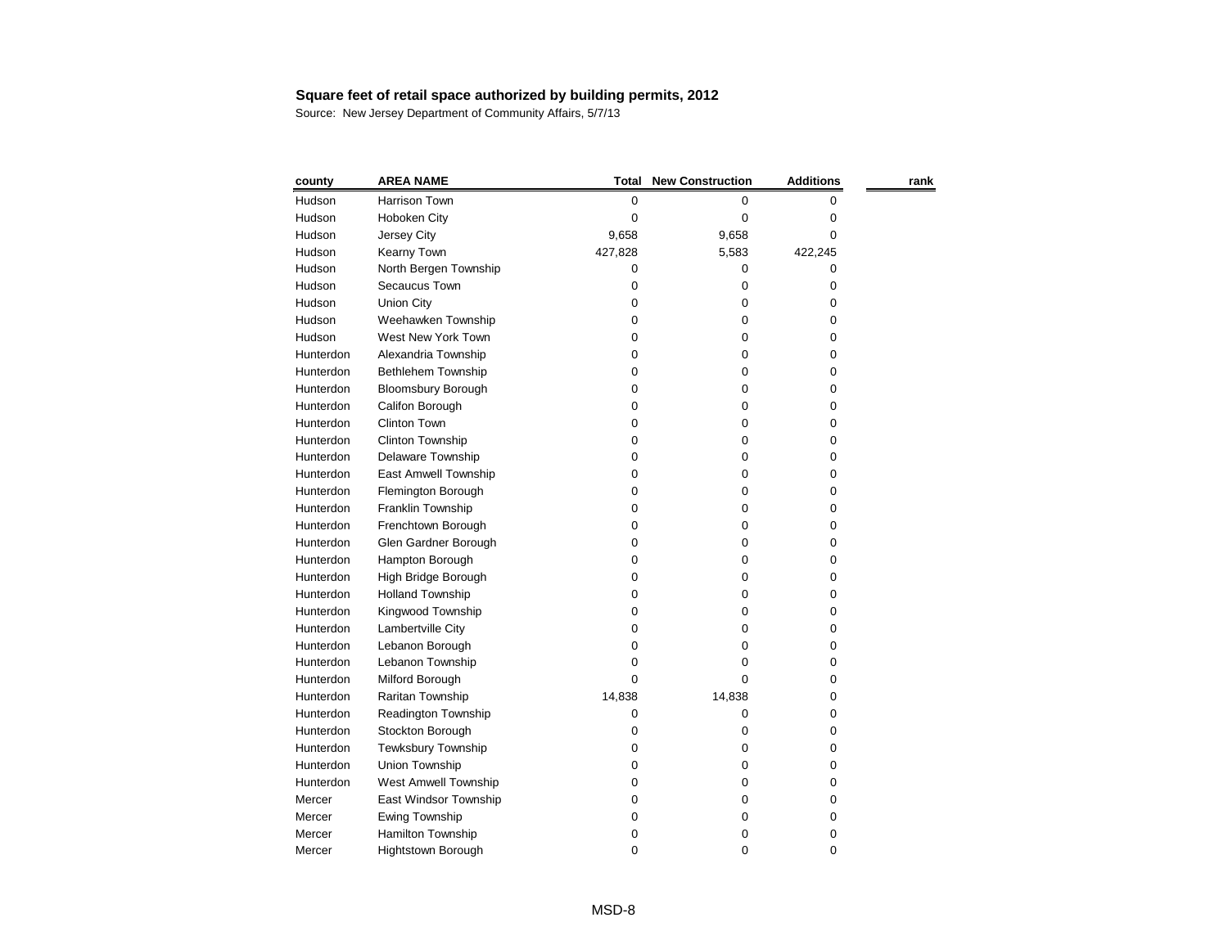| county    | <b>AREA NAME</b>            | <b>Total</b> | <b>New Construction</b> | <b>Additions</b> | rank |
|-----------|-----------------------------|--------------|-------------------------|------------------|------|
| Hudson    | Harrison Town               | 0            | 0                       | 0                |      |
| Hudson    | Hoboken City                | 0            | 0                       | 0                |      |
| Hudson    | Jersey City                 | 9,658        | 9,658                   | 0                |      |
| Hudson    | Kearny Town                 | 427,828      | 5,583                   | 422,245          |      |
| Hudson    | North Bergen Township       | 0            | 0                       | 0                |      |
| Hudson    | Secaucus Town               | 0            | 0                       | 0                |      |
| Hudson    | <b>Union City</b>           | 0            | 0                       | 0                |      |
| Hudson    | Weehawken Township          | 0            | 0                       | 0                |      |
| Hudson    | West New York Town          | 0            | 0                       | 0                |      |
| Hunterdon | Alexandria Township         | 0            | 0                       | 0                |      |
| Hunterdon | Bethlehem Township          | 0            | 0                       | 0                |      |
| Hunterdon | <b>Bloomsbury Borough</b>   | 0            | 0                       | 0                |      |
| Hunterdon | Califon Borough             | 0            | 0                       | 0                |      |
| Hunterdon | Clinton Town                | 0            | 0                       | 0                |      |
| Hunterdon | Clinton Township            | 0            | 0                       | 0                |      |
| Hunterdon | Delaware Township           | 0            | 0                       | 0                |      |
| Hunterdon | East Amwell Township        | 0            | 0                       | 0                |      |
| Hunterdon | Flemington Borough          | 0            | 0                       | 0                |      |
| Hunterdon | Franklin Township           | 0            | 0                       | 0                |      |
| Hunterdon | Frenchtown Borough          | 0            | 0                       | 0                |      |
| Hunterdon | Glen Gardner Borough        | 0            | 0                       | 0                |      |
| Hunterdon | Hampton Borough             | 0            | 0                       | 0                |      |
| Hunterdon | High Bridge Borough         | 0            | 0                       | 0                |      |
| Hunterdon | <b>Holland Township</b>     | 0            | 0                       | 0                |      |
| Hunterdon | Kingwood Township           | 0            | 0                       | 0                |      |
| Hunterdon | Lambertville City           | 0            | 0                       | 0                |      |
| Hunterdon | Lebanon Borough             | 0            | 0                       | 0                |      |
| Hunterdon | Lebanon Township            | 0            | Ω                       | 0                |      |
| Hunterdon | Milford Borough             | 0            | 0                       | 0                |      |
| Hunterdon | Raritan Township            | 14,838       | 14,838                  | 0                |      |
| Hunterdon | Readington Township         | 0            | 0                       | 0                |      |
| Hunterdon | Stockton Borough            | 0            | 0                       | 0                |      |
| Hunterdon | <b>Tewksbury Township</b>   | 0            | 0                       | 0                |      |
| Hunterdon | <b>Union Township</b>       | 0            | 0                       | 0                |      |
| Hunterdon | <b>West Amwell Township</b> | 0            | 0                       | 0                |      |
| Mercer    | East Windsor Township       | 0            | 0                       | 0                |      |
| Mercer    | Ewing Township              | 0            | 0                       | 0                |      |
| Mercer    | Hamilton Township           | 0            | 0                       | 0                |      |
| Mercer    | Hightstown Borough          | 0            | 0                       | 0                |      |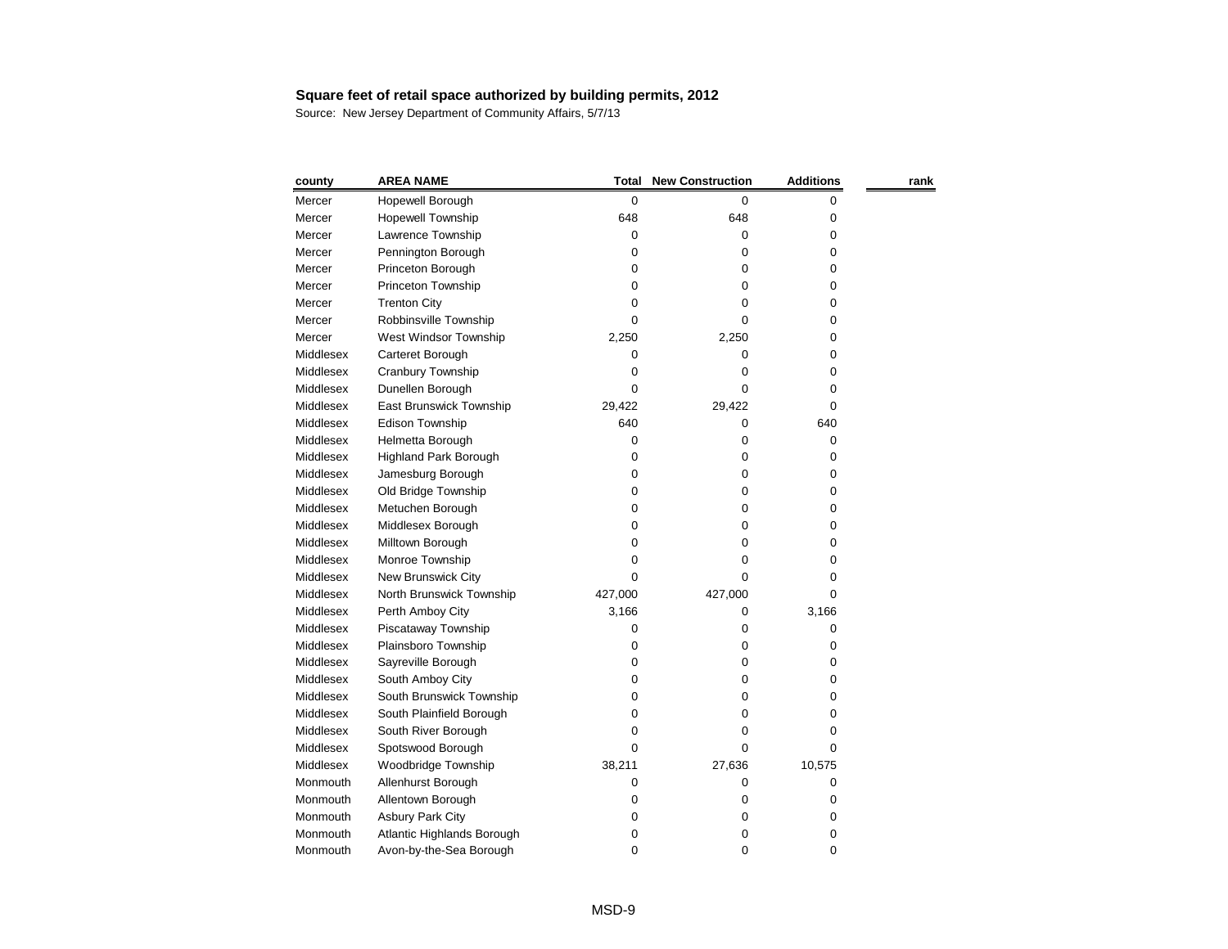| county    | <b>AREA NAME</b>             | Total   | <b>New Construction</b> | <b>Additions</b> | rank |
|-----------|------------------------------|---------|-------------------------|------------------|------|
| Mercer    | Hopewell Borough             | 0       | 0                       | 0                |      |
| Mercer    | <b>Hopewell Township</b>     | 648     | 648                     | 0                |      |
| Mercer    | Lawrence Township            | 0       | 0                       | 0                |      |
| Mercer    | Pennington Borough           | 0       | 0                       | 0                |      |
| Mercer    | Princeton Borough            | 0       | 0                       | 0                |      |
| Mercer    | <b>Princeton Township</b>    | 0       | 0                       | 0                |      |
| Mercer    | <b>Trenton City</b>          | 0       | 0                       | 0                |      |
| Mercer    | Robbinsville Township        | 0       | 0                       | 0                |      |
| Mercer    | West Windsor Township        | 2,250   | 2,250                   | 0                |      |
| Middlesex | Carteret Borough             | 0       | 0                       | 0                |      |
| Middlesex | Cranbury Township            | 0       | 0                       | 0                |      |
| Middlesex | Dunellen Borough             | 0       | 0                       | 0                |      |
| Middlesex | East Brunswick Township      | 29,422  | 29,422                  | 0                |      |
| Middlesex | Edison Township              | 640     | 0                       | 640              |      |
| Middlesex | Helmetta Borough             | 0       | 0                       | 0                |      |
| Middlesex | <b>Highland Park Borough</b> | 0       | 0                       | 0                |      |
| Middlesex | Jamesburg Borough            | 0       | 0                       | 0                |      |
| Middlesex | Old Bridge Township          | 0       | 0                       | 0                |      |
| Middlesex | Metuchen Borough             | 0       | 0                       | 0                |      |
| Middlesex | Middlesex Borough            | 0       | 0                       | 0                |      |
| Middlesex | Milltown Borough             | 0       | 0                       | 0                |      |
| Middlesex | Monroe Township              | 0       | 0                       | 0                |      |
| Middlesex | New Brunswick City           | 0       | 0                       | 0                |      |
| Middlesex | North Brunswick Township     | 427,000 | 427,000                 | 0                |      |
| Middlesex | Perth Amboy City             | 3,166   | 0                       | 3,166            |      |
| Middlesex | Piscataway Township          | 0       | 0                       | 0                |      |
| Middlesex | Plainsboro Township          | 0       | 0                       | 0                |      |
| Middlesex | Sayreville Borough           | 0       | 0                       | 0                |      |
| Middlesex | South Amboy City             | 0       | 0                       | 0                |      |
| Middlesex | South Brunswick Township     | 0       | 0                       | 0                |      |
| Middlesex | South Plainfield Borough     | 0       | 0                       | 0                |      |
| Middlesex | South River Borough          | 0       | 0                       | 0                |      |
| Middlesex | Spotswood Borough            | 0       | 0                       | 0                |      |
| Middlesex | Woodbridge Township          | 38,211  | 27,636                  | 10,575           |      |
| Monmouth  | Allenhurst Borough           | 0       | 0                       | 0                |      |
| Monmouth  | Allentown Borough            | 0       | 0                       | 0                |      |
| Monmouth  | <b>Asbury Park City</b>      | 0       | 0                       | 0                |      |
| Monmouth  | Atlantic Highlands Borough   | 0       | 0                       | 0                |      |
| Monmouth  | Avon-by-the-Sea Borough      | 0       | 0                       | 0                |      |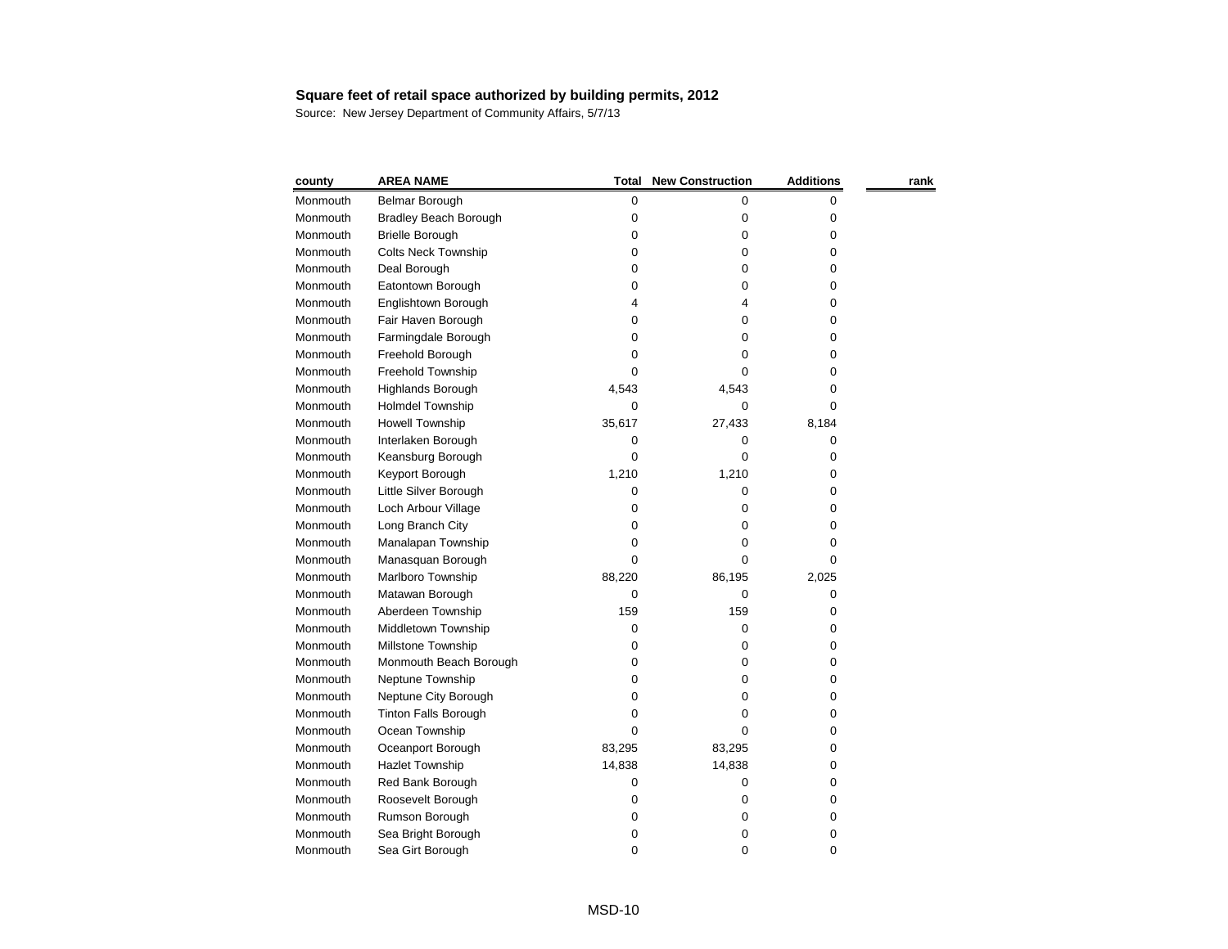| county   | <b>AREA NAME</b>             | Total  | <b>New Construction</b> | <b>Additions</b> | rank |
|----------|------------------------------|--------|-------------------------|------------------|------|
| Monmouth | Belmar Borough               | 0      | 0                       | 0                |      |
| Monmouth | <b>Bradley Beach Borough</b> | 0      | 0                       | 0                |      |
| Monmouth | <b>Brielle Borough</b>       | 0      | 0                       | 0                |      |
| Monmouth | <b>Colts Neck Township</b>   | 0      | 0                       | 0                |      |
| Monmouth | Deal Borough                 | 0      | 0                       | 0                |      |
| Monmouth | Eatontown Borough            | 0      | 0                       | 0                |      |
| Monmouth | Englishtown Borough          | 4      | 4                       | 0                |      |
| Monmouth | Fair Haven Borough           | 0      | 0                       | 0                |      |
| Monmouth | Farmingdale Borough          | 0      | 0                       | 0                |      |
| Monmouth | Freehold Borough             | 0      | 0                       | 0                |      |
| Monmouth | Freehold Township            | 0      | 0                       | 0                |      |
| Monmouth | Highlands Borough            | 4,543  | 4,543                   | 0                |      |
| Monmouth | <b>Holmdel Township</b>      | 0      | 0                       | 0                |      |
| Monmouth | <b>Howell Township</b>       | 35,617 | 27,433                  | 8,184            |      |
| Monmouth | Interlaken Borough           | 0      | 0                       | 0                |      |
| Monmouth | Keansburg Borough            | 0      | 0                       | 0                |      |
| Monmouth | Keyport Borough              | 1,210  | 1,210                   | 0                |      |
| Monmouth | Little Silver Borough        | 0      | 0                       | 0                |      |
| Monmouth | Loch Arbour Village          | 0      | 0                       | 0                |      |
| Monmouth | Long Branch City             | 0      | 0                       | 0                |      |
| Monmouth | Manalapan Township           | 0      | 0                       | 0                |      |
| Monmouth | Manasquan Borough            | 0      | 0                       | 0                |      |
| Monmouth | Marlboro Township            | 88,220 | 86,195                  | 2,025            |      |
| Monmouth | Matawan Borough              | 0      | 0                       | 0                |      |
| Monmouth | Aberdeen Township            | 159    | 159                     | 0                |      |
| Monmouth | Middletown Township          | 0      | 0                       | 0                |      |
| Monmouth | Millstone Township           | 0      | 0                       | 0                |      |
| Monmouth | Monmouth Beach Borough       | 0      | 0                       | 0                |      |
| Monmouth | Neptune Township             | 0      | 0                       | 0                |      |
| Monmouth | Neptune City Borough         | 0      | 0                       | 0                |      |
| Monmouth | <b>Tinton Falls Borough</b>  | 0      | 0                       | 0                |      |
| Monmouth | Ocean Township               | 0      | 0                       | 0                |      |
| Monmouth | Oceanport Borough            | 83,295 | 83,295                  | 0                |      |
| Monmouth | <b>Hazlet Township</b>       | 14,838 | 14,838                  | 0                |      |
| Monmouth | Red Bank Borough             | 0      | 0                       | 0                |      |
| Monmouth | Roosevelt Borough            | 0      | 0                       | 0                |      |
| Monmouth | Rumson Borough               | 0      | 0                       | 0                |      |
| Monmouth | Sea Bright Borough           | 0      | 0                       | 0                |      |
| Monmouth | Sea Girt Borough             | 0      | 0                       | 0                |      |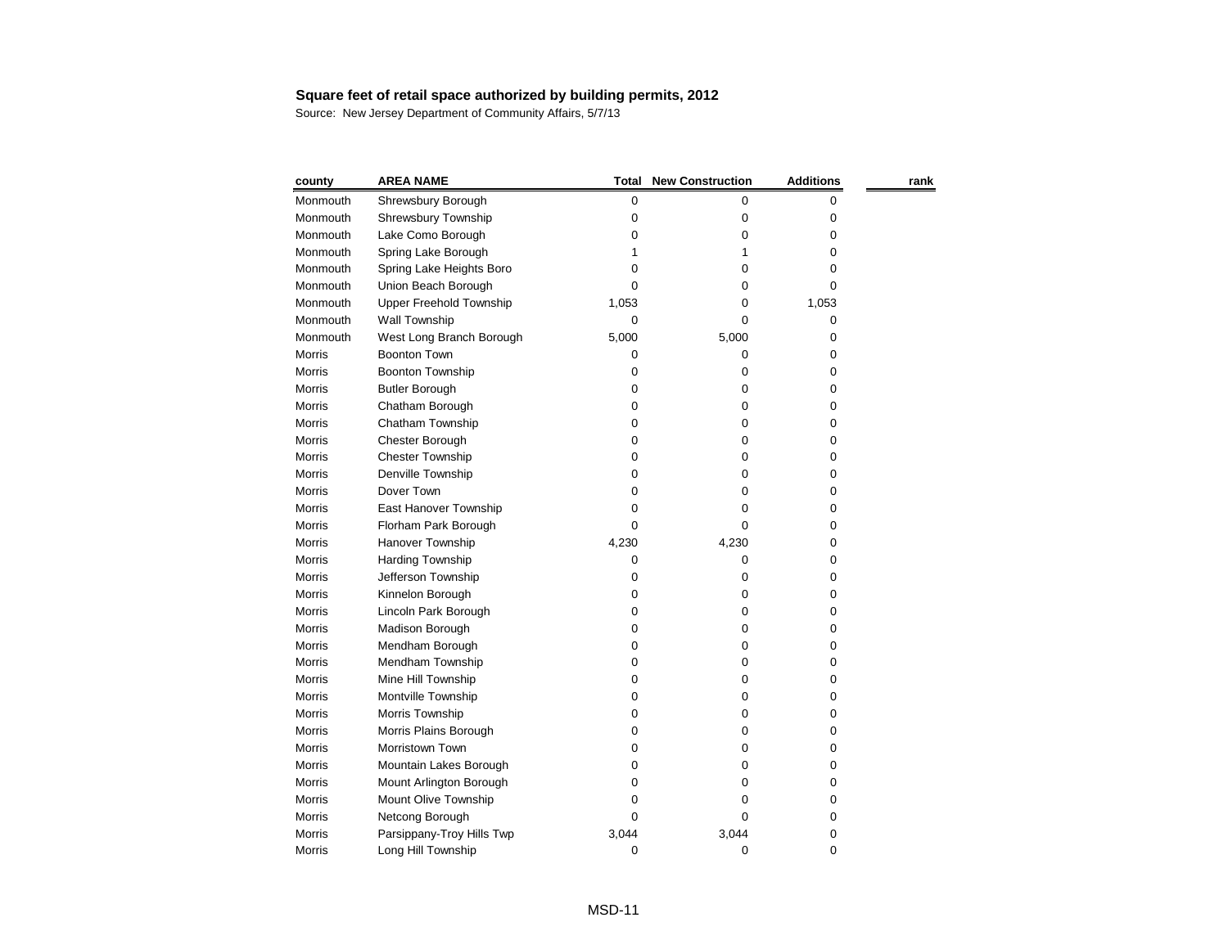| county        | <b>AREA NAME</b>               | <b>Total</b> | <b>New Construction</b> | <b>Additions</b> | rank |
|---------------|--------------------------------|--------------|-------------------------|------------------|------|
| Monmouth      | Shrewsbury Borough             | 0            | 0                       | 0                |      |
| Monmouth      | Shrewsbury Township            | 0            | 0                       | 0                |      |
| Monmouth      | Lake Como Borough              | 0            | 0                       | 0                |      |
| Monmouth      | Spring Lake Borough            |              |                         | 0                |      |
| Monmouth      | Spring Lake Heights Boro       | 0            | 0                       | 0                |      |
| Monmouth      | Union Beach Borough            | 0            | 0                       | 0                |      |
| Monmouth      | <b>Upper Freehold Township</b> | 1,053        | 0                       | 1,053            |      |
| Monmouth      | Wall Township                  | 0            | 0                       | 0                |      |
| Monmouth      | West Long Branch Borough       | 5,000        | 5,000                   | 0                |      |
| Morris        | <b>Boonton Town</b>            | 0            | 0                       | 0                |      |
| <b>Morris</b> | Boonton Township               | 0            | 0                       | 0                |      |
| <b>Morris</b> | <b>Butler Borough</b>          | 0            | 0                       | 0                |      |
| <b>Morris</b> | Chatham Borough                | 0            | 0                       | 0                |      |
| <b>Morris</b> | Chatham Township               | 0            | 0                       | 0                |      |
| <b>Morris</b> | Chester Borough                | 0            | 0                       | 0                |      |
| <b>Morris</b> | <b>Chester Township</b>        | 0            | 0                       | 0                |      |
| Morris        | Denville Township              | 0            | 0                       | 0                |      |
| <b>Morris</b> | Dover Town                     | 0            | 0                       | 0                |      |
| <b>Morris</b> | East Hanover Township          | 0            | 0                       | 0                |      |
| <b>Morris</b> | Florham Park Borough           | 0            | 0                       | 0                |      |
| Morris        | Hanover Township               | 4,230        | 4,230                   | 0                |      |
| Morris        | <b>Harding Township</b>        | 0            | 0                       | 0                |      |
| <b>Morris</b> | Jefferson Township             | 0            | 0                       | 0                |      |
| Morris        | Kinnelon Borough               | 0            | 0                       | 0                |      |
| <b>Morris</b> | Lincoln Park Borough           | 0            | 0                       | 0                |      |
| <b>Morris</b> | Madison Borough                | 0            | 0                       | 0                |      |
| <b>Morris</b> | Mendham Borough                | 0            | 0                       | 0                |      |
| <b>Morris</b> | Mendham Township               | 0            | O                       | 0                |      |
| <b>Morris</b> | Mine Hill Township             | 0            | 0                       | 0                |      |
| Morris        | Montville Township             | 0            | 0                       | 0                |      |
| <b>Morris</b> | Morris Township                | 0            | 0                       | 0                |      |
| Morris        | Morris Plains Borough          | 0            | 0                       | 0                |      |
| Morris        | Morristown Town                | 0            | 0                       | 0                |      |
| <b>Morris</b> | Mountain Lakes Borough         | 0            | 0                       | 0                |      |
| Morris        | Mount Arlington Borough        | 0            | 0                       | 0                |      |
| Morris        | Mount Olive Township           | 0            | Ω                       | 0                |      |
| <b>Morris</b> | Netcong Borough                | 0            | 0                       | 0                |      |
| Morris        | Parsippany-Troy Hills Twp      | 3,044        | 3,044                   | 0                |      |
| Morris        | Long Hill Township             | 0            | 0                       | 0                |      |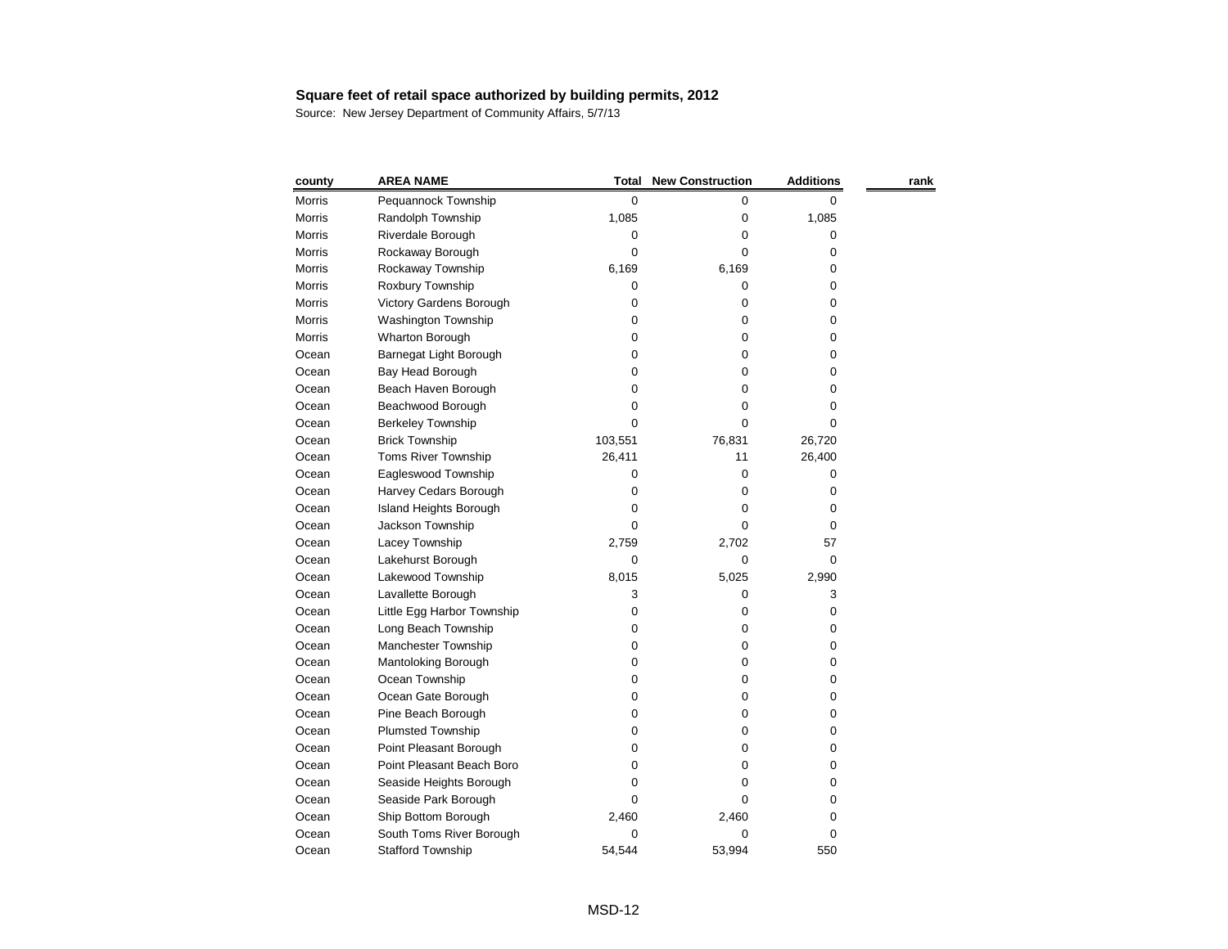| county        | <b>AREA NAME</b>              | <b>Total</b> | <b>New Construction</b> | <b>Additions</b> | rank |
|---------------|-------------------------------|--------------|-------------------------|------------------|------|
| <b>Morris</b> | Pequannock Township           | 0            | 0                       | 0                |      |
| <b>Morris</b> | Randolph Township             | 1,085        | 0                       | 1,085            |      |
| Morris        | Riverdale Borough             | 0            | 0                       | 0                |      |
| <b>Morris</b> | Rockaway Borough              | 0            | 0                       | 0                |      |
| <b>Morris</b> | Rockaway Township             | 6,169        | 6,169                   | 0                |      |
| Morris        | Roxbury Township              | 0            | 0                       | 0                |      |
| <b>Morris</b> | Victory Gardens Borough       | 0            | 0                       | 0                |      |
| Morris        | Washington Township           | 0            | 0                       | 0                |      |
| Morris        | Wharton Borough               | 0            | 0                       | 0                |      |
| Ocean         | Barnegat Light Borough        | 0            | 0                       | 0                |      |
| Ocean         | Bay Head Borough              | 0            | 0                       | 0                |      |
| Ocean         | Beach Haven Borough           | 0            | 0                       | 0                |      |
| Ocean         | Beachwood Borough             | 0            | 0                       | 0                |      |
| Ocean         | <b>Berkeley Township</b>      | 0            | 0                       | 0                |      |
| Ocean         | <b>Brick Township</b>         | 103,551      | 76,831                  | 26,720           |      |
| Ocean         | Toms River Township           | 26,411       | 11                      | 26,400           |      |
| Ocean         | Eagleswood Township           | 0            | 0                       | 0                |      |
| Ocean         | Harvey Cedars Borough         | 0            | 0                       | 0                |      |
| Ocean         | <b>Island Heights Borough</b> | 0            | 0                       | 0                |      |
| Ocean         | Jackson Township              | 0            | 0                       | 0                |      |
| Ocean         | Lacey Township                | 2,759        | 2,702                   | 57               |      |
| Ocean         | Lakehurst Borough             | 0            | 0                       | 0                |      |
| Ocean         | Lakewood Township             | 8,015        | 5,025                   | 2,990            |      |
| Ocean         | Lavallette Borough            | 3            | 0                       | 3                |      |
| Ocean         | Little Egg Harbor Township    | 0            | 0                       | 0                |      |
| Ocean         | Long Beach Township           | 0            | 0                       | 0                |      |
| Ocean         | Manchester Township           | 0            | 0                       | 0                |      |
| Ocean         | Mantoloking Borough           | 0            | 0                       | 0                |      |
| Ocean         | Ocean Township                | 0            | 0                       | 0                |      |
| Ocean         | Ocean Gate Borough            | 0            | 0                       | 0                |      |
| Ocean         | Pine Beach Borough            | 0            | 0                       | 0                |      |
| Ocean         | <b>Plumsted Township</b>      | 0            | 0                       | 0                |      |
| Ocean         | Point Pleasant Borough        | 0            | 0                       | 0                |      |
| Ocean         | Point Pleasant Beach Boro     | 0            | 0                       | 0                |      |
| Ocean         | Seaside Heights Borough       | O            | 0                       | 0                |      |
| Ocean         | Seaside Park Borough          | 0            | 0                       | 0                |      |
| Ocean         | Ship Bottom Borough           | 2,460        | 2,460                   | 0                |      |
| Ocean         | South Toms River Borough      | 0            | 0                       | 0                |      |
| Ocean         | <b>Stafford Township</b>      | 54,544       | 53,994                  | 550              |      |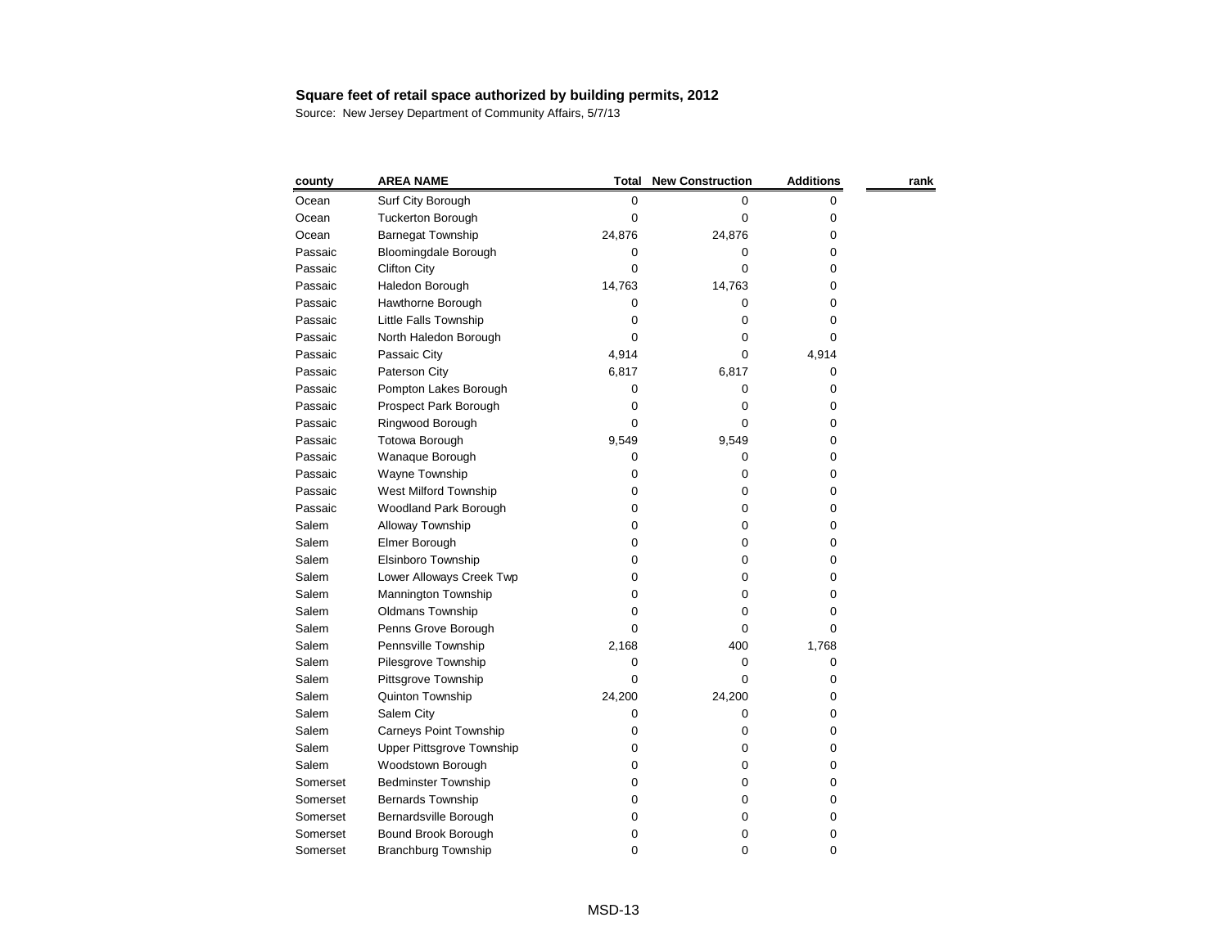| county   | <b>AREA NAME</b>              | Total  | <b>New Construction</b> | <b>Additions</b> | rank |
|----------|-------------------------------|--------|-------------------------|------------------|------|
| Ocean    | Surf City Borough             | 0      | 0                       | 0                |      |
| Ocean    | <b>Tuckerton Borough</b>      | 0      | 0                       | 0                |      |
| Ocean    | <b>Barnegat Township</b>      | 24,876 | 24,876                  | 0                |      |
| Passaic  | <b>Bloomingdale Borough</b>   | 0      | 0                       | 0                |      |
| Passaic  | <b>Clifton City</b>           | 0      | 0                       | 0                |      |
| Passaic  | Haledon Borough               | 14,763 | 14,763                  | 0                |      |
| Passaic  | Hawthorne Borough             | 0      | 0                       | 0                |      |
| Passaic  | Little Falls Township         | 0      | 0                       | 0                |      |
| Passaic  | North Haledon Borough         | 0      | 0                       | 0                |      |
| Passaic  | Passaic City                  | 4,914  | 0                       | 4,914            |      |
| Passaic  | Paterson City                 | 6,817  | 6,817                   | 0                |      |
| Passaic  | Pompton Lakes Borough         | 0      | 0                       | 0                |      |
| Passaic  | Prospect Park Borough         | 0      | 0                       | 0                |      |
| Passaic  | Ringwood Borough              | 0      | 0                       | 0                |      |
| Passaic  | Totowa Borough                | 9,549  | 9,549                   | 0                |      |
| Passaic  | Wanaque Borough               | 0      | 0                       | 0                |      |
| Passaic  | Wayne Township                | 0      | 0                       | 0                |      |
| Passaic  | West Milford Township         | 0      | 0                       | 0                |      |
| Passaic  | Woodland Park Borough         | 0      | 0                       | 0                |      |
| Salem    | Alloway Township              | 0      | 0                       | 0                |      |
| Salem    | Elmer Borough                 | 0      | 0                       | 0                |      |
| Salem    | Elsinboro Township            | 0      | 0                       | 0                |      |
| Salem    | Lower Alloways Creek Twp      | 0      | 0                       | 0                |      |
| Salem    | Mannington Township           | 0      | 0                       | 0                |      |
| Salem    | Oldmans Township              | 0      | 0                       | 0                |      |
| Salem    | Penns Grove Borough           | 0      | 0                       | 0                |      |
| Salem    | Pennsville Township           | 2,168  | 400                     | 1,768            |      |
| Salem    | Pilesgrove Township           | 0      | 0                       | 0                |      |
| Salem    | Pittsgrove Township           | 0      | 0                       | 0                |      |
| Salem    | Quinton Township              | 24,200 | 24,200                  | 0                |      |
| Salem    | Salem City                    | 0      | 0                       | 0                |      |
| Salem    | <b>Carneys Point Township</b> | 0      | 0                       | 0                |      |
| Salem    | Upper Pittsgrove Township     | 0      | 0                       | 0                |      |
| Salem    | Woodstown Borough             | 0      | 0                       | 0                |      |
| Somerset | <b>Bedminster Township</b>    | O      | 0                       | 0                |      |
| Somerset | <b>Bernards Township</b>      | O      | 0                       | 0                |      |
| Somerset | Bernardsville Borough         | O      | 0                       | 0                |      |
| Somerset | Bound Brook Borough           | 0      | 0                       | 0                |      |
| Somerset | <b>Branchburg Township</b>    | 0      | 0                       | 0                |      |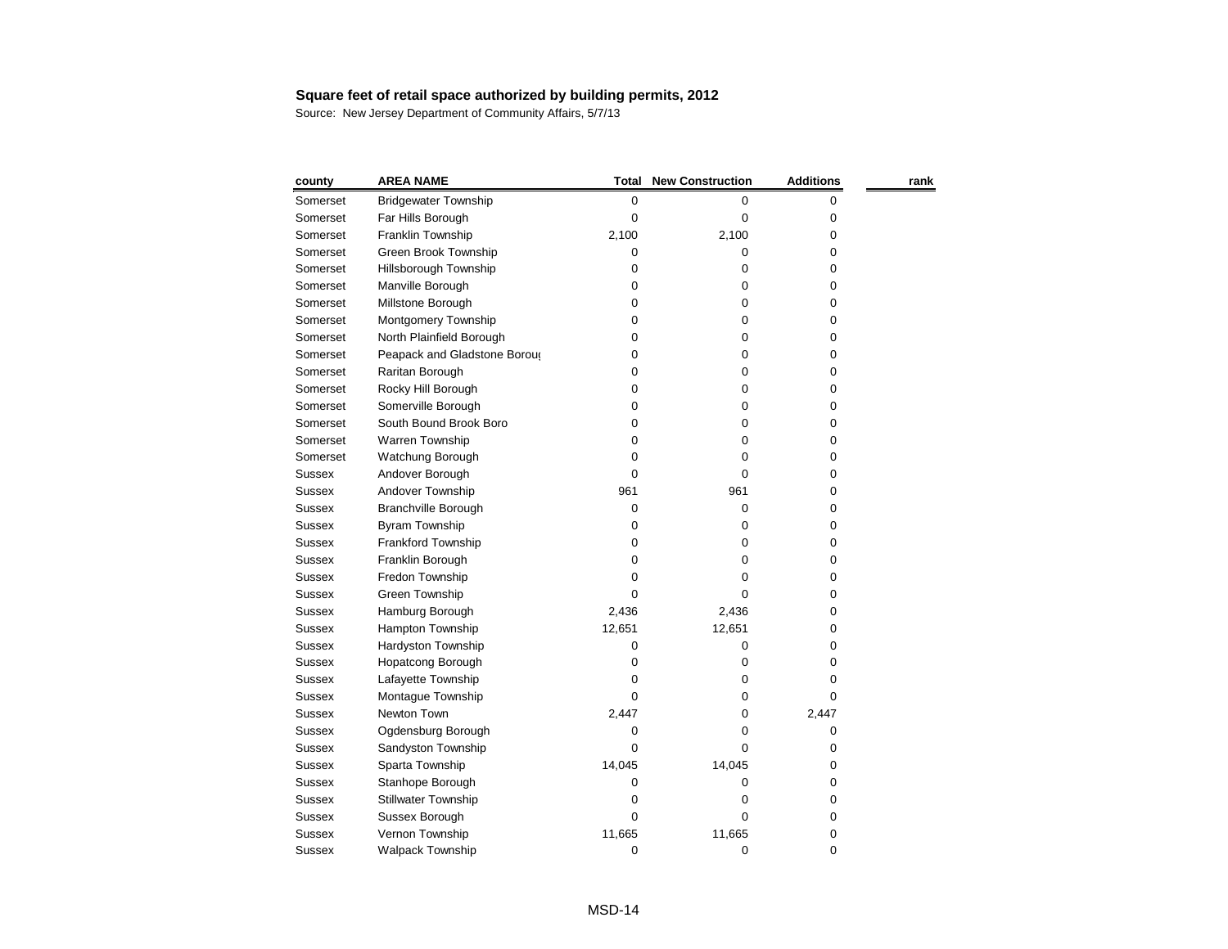| county        | <b>AREA NAME</b>             | <b>Total</b> | <b>New Construction</b> | <b>Additions</b> | rank |
|---------------|------------------------------|--------------|-------------------------|------------------|------|
| Somerset      | <b>Bridgewater Township</b>  | 0            | 0                       | 0                |      |
| Somerset      | Far Hills Borough            | 0            | 0                       | 0                |      |
| Somerset      | Franklin Township            | 2,100        | 2,100                   | 0                |      |
| Somerset      | Green Brook Township         | 0            | 0                       | 0                |      |
| Somerset      | Hillsborough Township        | 0            | 0                       | 0                |      |
| Somerset      | Manville Borough             | 0            | 0                       | 0                |      |
| Somerset      | Millstone Borough            | 0            | 0                       | 0                |      |
| Somerset      | Montgomery Township          | 0            | 0                       | 0                |      |
| Somerset      | North Plainfield Borough     | 0            | 0                       | 0                |      |
| Somerset      | Peapack and Gladstone Boroug | 0            | 0                       | 0                |      |
| Somerset      | Raritan Borough              | 0            | 0                       | 0                |      |
| Somerset      | Rocky Hill Borough           | 0            | 0                       | 0                |      |
| Somerset      | Somerville Borough           | 0            | 0                       | 0                |      |
| Somerset      | South Bound Brook Boro       | 0            | 0                       | 0                |      |
| Somerset      | Warren Township              | 0            | 0                       | 0                |      |
| Somerset      | Watchung Borough             | 0            | 0                       | 0                |      |
| <b>Sussex</b> | Andover Borough              | 0            | 0                       | 0                |      |
| <b>Sussex</b> | Andover Township             | 961          | 961                     | 0                |      |
| <b>Sussex</b> | <b>Branchville Borough</b>   | 0            | 0                       | 0                |      |
| <b>Sussex</b> | Byram Township               | 0            | 0                       | 0                |      |
| <b>Sussex</b> | Frankford Township           | 0            | 0                       | 0                |      |
| <b>Sussex</b> | Franklin Borough             | 0            | 0                       | 0                |      |
| <b>Sussex</b> | Fredon Township              | 0            | 0                       | 0                |      |
| <b>Sussex</b> | Green Township               | 0            | 0                       | 0                |      |
| <b>Sussex</b> | Hamburg Borough              | 2,436        | 2,436                   | 0                |      |
| <b>Sussex</b> | Hampton Township             | 12,651       | 12,651                  | 0                |      |
| <b>Sussex</b> | Hardyston Township           | 0            | 0                       | 0                |      |
| Sussex        | Hopatcong Borough            | 0            | 0                       | 0                |      |
| <b>Sussex</b> | Lafayette Township           | 0            | 0                       | 0                |      |
| <b>Sussex</b> | Montague Township            | 0            | 0                       | 0                |      |
| <b>Sussex</b> | Newton Town                  | 2,447        | 0                       | 2,447            |      |
| <b>Sussex</b> | Ogdensburg Borough           | 0            | 0                       | 0                |      |
| <b>Sussex</b> | Sandyston Township           | 0            | 0                       | 0                |      |
| <b>Sussex</b> | Sparta Township              | 14,045       | 14,045                  | 0                |      |
| <b>Sussex</b> | Stanhope Borough             | 0            | 0                       | 0                |      |
| <b>Sussex</b> | <b>Stillwater Township</b>   | 0            | 0                       | 0                |      |
| <b>Sussex</b> | Sussex Borough               | 0            | 0                       | 0                |      |
| <b>Sussex</b> | Vernon Township              | 11,665       | 11,665                  | 0                |      |
| <b>Sussex</b> | <b>Walpack Township</b>      | $\pmb{0}$    | 0                       | 0                |      |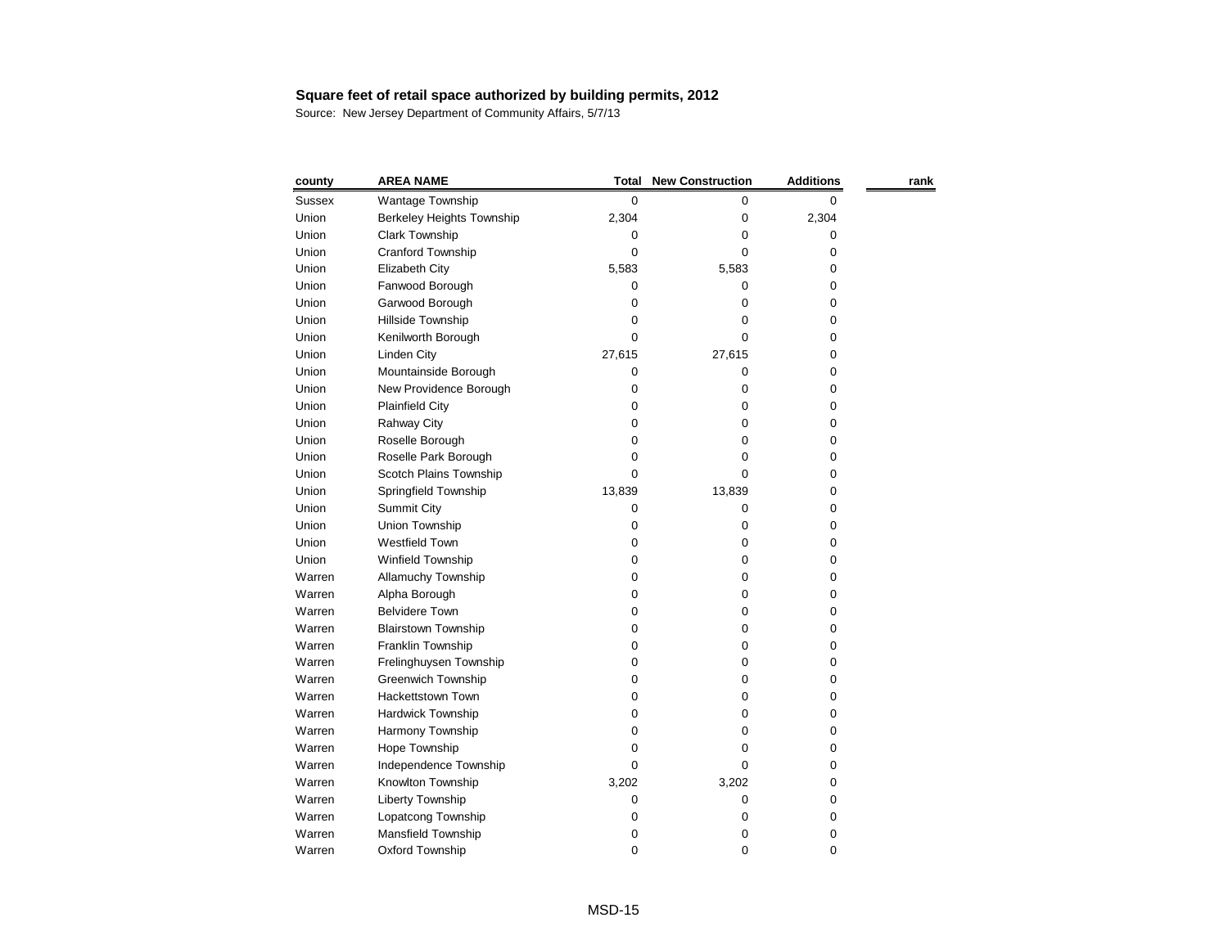| county        | <b>AREA NAME</b>           | <b>Total</b> | <b>New Construction</b> | <b>Additions</b> | rank |
|---------------|----------------------------|--------------|-------------------------|------------------|------|
| <b>Sussex</b> | Wantage Township           | 0            | 0                       | 0                |      |
| Union         | Berkeley Heights Township  | 2,304        | 0                       | 2,304            |      |
| Union         | <b>Clark Township</b>      | 0            | 0                       | 0                |      |
| Union         | Cranford Township          | 0            | 0                       | 0                |      |
| Union         | Elizabeth City             | 5,583        | 5,583                   | 0                |      |
| Union         | Fanwood Borough            | 0            | 0                       | 0                |      |
| Union         | Garwood Borough            | 0            | 0                       | 0                |      |
| Union         | Hillside Township          | 0            | 0                       | 0                |      |
| Union         | Kenilworth Borough         | 0            | 0                       | 0                |      |
| Union         | <b>Linden City</b>         | 27,615       | 27,615                  | 0                |      |
| Union         | Mountainside Borough       | 0            | 0                       | 0                |      |
| Union         | New Providence Borough     | 0            | 0                       | 0                |      |
| Union         | <b>Plainfield City</b>     | 0            | 0                       | 0                |      |
| Union         | <b>Rahway City</b>         | 0            | 0                       | 0                |      |
| Union         | Roselle Borough            | 0            | 0                       | 0                |      |
| Union         | Roselle Park Borough       | 0            | 0                       | 0                |      |
| Union         | Scotch Plains Township     | 0            | 0                       | 0                |      |
| Union         | Springfield Township       | 13,839       | 13,839                  | 0                |      |
| Union         | <b>Summit City</b>         | 0            | 0                       | 0                |      |
| Union         | Union Township             | 0            | 0                       | 0                |      |
| Union         | <b>Westfield Town</b>      | 0            | 0                       | 0                |      |
| Union         | Winfield Township          | 0            | 0                       | 0                |      |
| Warren        | Allamuchy Township         | 0            | 0                       | 0                |      |
| Warren        | Alpha Borough              | 0            | 0                       | 0                |      |
| Warren        | <b>Belvidere Town</b>      | 0            | 0                       | 0                |      |
| Warren        | <b>Blairstown Township</b> | 0            | 0                       | 0                |      |
| Warren        | Franklin Township          | 0            | 0                       | 0                |      |
| Warren        | Frelinghuysen Township     | 0            | 0                       | 0                |      |
| Warren        | Greenwich Township         | 0            | 0                       | 0                |      |
| Warren        | Hackettstown Town          | 0            | 0                       | 0                |      |
| Warren        | Hardwick Township          | 0            | $\boldsymbol{0}$        | 0                |      |
| Warren        | Harmony Township           | 0            | 0                       | 0                |      |
| Warren        | Hope Township              | 0            | 0                       | 0                |      |
| Warren        | Independence Township      | 0            | 0                       | 0                |      |
| Warren        | Knowlton Township          | 3,202        | 3,202                   | 0                |      |
| Warren        | Liberty Township           | 0            | 0                       | 0                |      |
| Warren        | Lopatcong Township         | 0            | 0                       | 0                |      |
| Warren        | Mansfield Township         | 0            | 0                       | 0                |      |
| Warren        | Oxford Township            | 0            | 0                       | 0                |      |